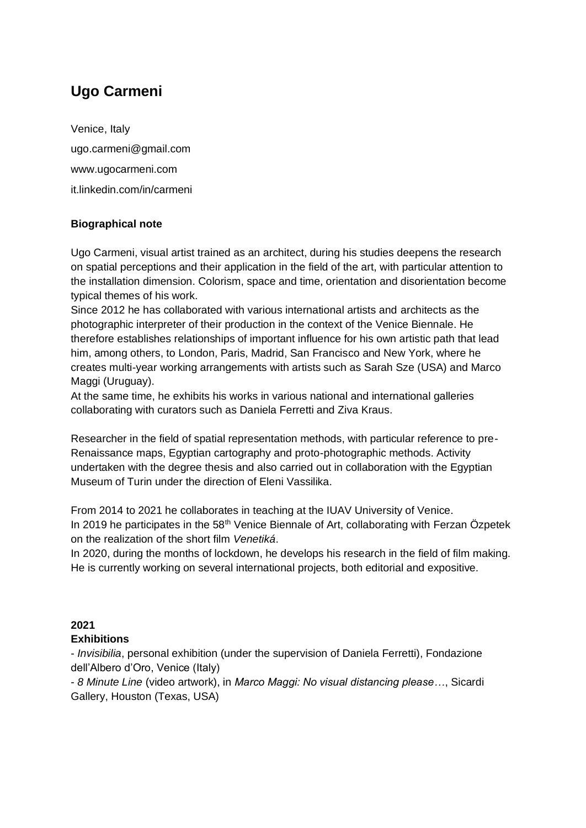# **Ugo Carmeni**

Venice, Italy ugo.carmeni@gmail.com www.ugocarmeni.com it.linkedin.com/in/carmeni

## **Biographical note**

Ugo Carmeni, visual artist trained as an architect, during his studies deepens the research on spatial perceptions and their application in the field of the art, with particular attention to the installation dimension. Colorism, space and time, orientation and disorientation become typical themes of his work.

Since 2012 he has collaborated with various international artists and architects as the photographic interpreter of their production in the context of the Venice Biennale. He therefore establishes relationships of important influence for his own artistic path that lead him, among others, to London, Paris, Madrid, San Francisco and New York, where he creates multi-year working arrangements with artists such as Sarah Sze (USA) and Marco Maggi (Uruguay).

At the same time, he exhibits his works in various national and international galleries collaborating with curators such as Daniela Ferretti and Ziva Kraus.

Researcher in the field of spatial representation methods, with particular reference to pre-Renaissance maps, Egyptian cartography and proto-photographic methods. Activity undertaken with the degree thesis and also carried out in collaboration with the Egyptian Museum of Turin under the direction of Eleni Vassilika.

From 2014 to 2021 he collaborates in teaching at the IUAV University of Venice. In 2019 he participates in the 58<sup>th</sup> Venice Biennale of Art, collaborating with Ferzan Özpetek on the realization of the short film *Venetiká*.

In 2020, during the months of lockdown, he develops his research in the field of film making. He is currently working on several international projects, both editorial and expositive.

#### **2021**

#### **Exhibitions**

- *Invisibilia*, personal exhibition (under the supervision of Daniela Ferretti), Fondazione dell'Albero d'Oro, Venice (Italy)

- *8 Minute Line* (video artwork), in *Marco Maggi: No visual distancing please…*, Sicardi Gallery, Houston (Texas, USA)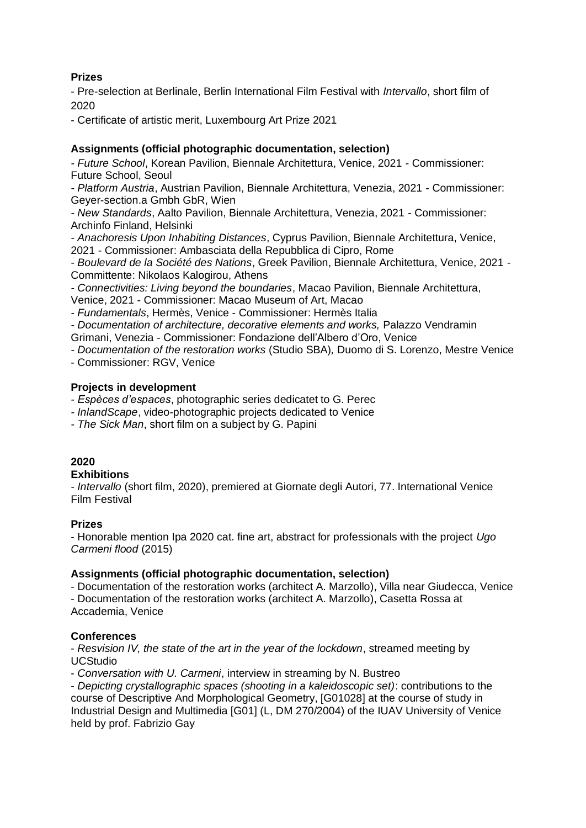## **Prizes**

- Pre-selection at Berlinale, Berlin International Film Festival with *Intervallo*, short film of 2020

- Certificate of artistic merit, Luxembourg Art Prize 2021

## **Assignments (official photographic documentation, selection)**

*- Future School*, Korean Pavilion, Biennale Architettura, Venice, 2021 - Commissioner: Future School, Seoul

*- Platform Austria*, Austrian Pavilion, Biennale Architettura, Venezia, 2021 - Commissioner: Geyer-section.a Gmbh GbR, Wien

*- New Standards*, Aalto Pavilion, Biennale Architettura, Venezia, 2021 - Commissioner: Archinfo Finland, Helsinki

*- Anachoresis Upon Inhabiting Distances*, Cyprus Pavilion, Biennale Architettura, Venice,

2021 - Commissioner: Ambasciata della Repubblica di Cipro, Rome

*- Boulevard de la Société des Nations*, Greek Pavilion, Biennale Architettura, Venice, 2021 - Committente: Nikolaos Kalogirou, Athens

*- Connectivities: Living beyond the boundaries*, Macao Pavilion, Biennale Architettura, Venice, 2021 - Commissioner: Macao Museum of Art, Macao

*- Fundamentals*, Hermès, Venice - Commissioner: Hermès Italia

*- Documentation of architecture, decorative elements and works,* Palazzo Vendramin Grimani, Venezia - Commissioner: Fondazione dell'Albero d'Oro, Venice

*- Documentation of the restoration works* (Studio SBA)*,* Duomo di S. Lorenzo, Mestre Venice

- Commissioner: RGV, Venice

#### **Projects in development**

*- Espèces d'espaces*, photographic series dedicatet to G. Perec

*- InlandScape*, video-photographic projects dedicated to Venice

*- The Sick Man*, short film on a subject by G. Papini

#### **2020**

#### **Exhibitions**

*- Intervallo* (short film, 2020), premiered at Giornate degli Autori, 77. International Venice Film Festival

#### **Prizes**

- Honorable mention Ipa 2020 cat. fine art, abstract for professionals with the project *Ugo Carmeni flood* (2015)

#### **Assignments (official photographic documentation, selection)**

- Documentation of the restoration works (architect A. Marzollo), Villa near Giudecca, Venice - Documentation of the restoration works (architect A. Marzollo), Casetta Rossa at Accademia, Venice

#### **Conferences**

- *Resvision IV, the state of the art in the year of the lockdown*, streamed meeting by UCStudio

- *Conversation with U. Carmeni*, interview in streaming by N. Bustreo

- *Depicting crystallographic spaces (shooting in a kaleidoscopic set)*: contributions to the course of Descriptive And Morphological Geometry, [G01028] at the course of study in Industrial Design and Multimedia [G01] (L, DM 270/2004) of the IUAV University of Venice held by prof. Fabrizio Gay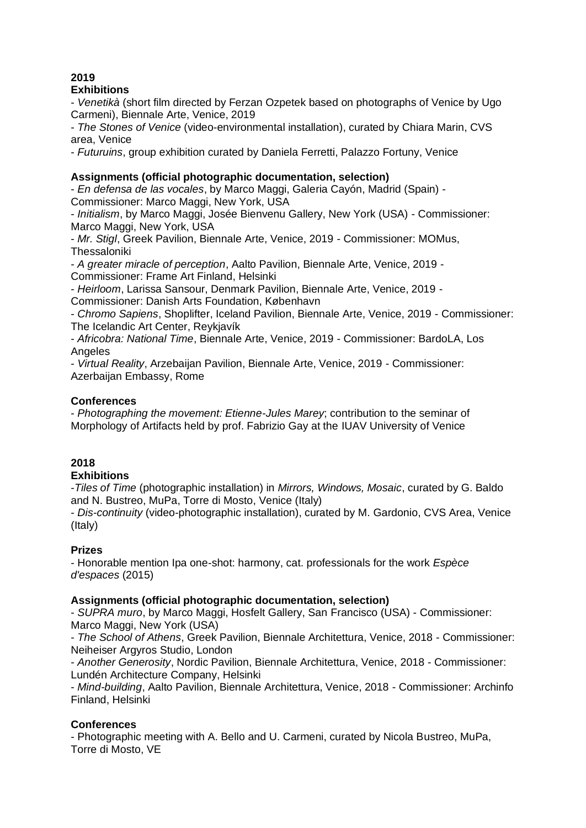# **2019**

## **Exhibitions**

- *Venetikà* (short film directed by Ferzan Ozpetek based on photographs of Venice by Ugo Carmeni), Biennale Arte, Venice, 2019

- *The Stones of Venice* (video-environmental installation), curated by Chiara Marin, CVS area, Venice

- *Futuruins*, group exhibition curated by Daniela Ferretti, Palazzo Fortuny, Venice

## **Assignments (official photographic documentation, selection)**

- *En defensa de las vocales*, by Marco Maggi, Galeria Cayón, Madrid (Spain) - Commissioner: Marco Maggi, New York, USA

- *Initialism*, by Marco Maggi, Josée Bienvenu Gallery, New York (USA) - Commissioner: Marco Maggi, New York, USA

- *Mr. Stigl*, Greek Pavilion, Biennale Arte, Venice, 2019 - Commissioner: MOMus, **Thessaloniki** 

- *A greater miracle of perception*, Aalto Pavilion, Biennale Arte, Venice, 2019 - Commissioner: Frame Art Finland, Helsinki

- *Heirloom*, Larissa Sansour, Denmark Pavilion, Biennale Arte, Venice, 2019 - Commissioner: Danish Arts Foundation, København

- *Chromo Sapiens*, Shoplifter, Iceland Pavilion, Biennale Arte, Venice, 2019 - Commissioner: The Icelandic Art Center, Reykjavík

- *Africobra: National Time*, Biennale Arte, Venice, 2019 - Commissioner: BardoLA, Los **Angeles** 

- *Virtual Reality*, Arzebaijan Pavilion, Biennale Arte, Venice, 2019 - Commissioner: Azerbaijan Embassy, Rome

## **Conferences**

- *Photographing the movement: Etienne-Jules Marey*; contribution to the seminar of Morphology of Artifacts held by prof. Fabrizio Gay at the IUAV University of Venice

## **2018**

## **Exhibitions**

-*Tiles of Time* (photographic installation) in *Mirrors, Windows, Mosaic*, curated by G. Baldo and N. Bustreo, MuPa, Torre di Mosto, Venice (Italy)

- *Dis-continuity* (video-photographic installation), curated by M. Gardonio, CVS Area, Venice (Italy)

## **Prizes**

- Honorable mention Ipa one-shot: harmony, cat. professionals for the work *Espèce d'espaces* (2015)

#### **Assignments (official photographic documentation, selection)**

- *SUPRA muro*, by Marco Maggi, Hosfelt Gallery, San Francisco (USA) - Commissioner: Marco Maggi, New York (USA)

- *The School of Athens*, Greek Pavilion, Biennale Architettura, Venice, 2018 - Commissioner: Neiheiser Argyros Studio, London

- *Another Generosity*, Nordic Pavilion, Biennale Architettura, Venice, 2018 - Commissioner: Lundén Architecture Company, Helsinki

- *Mind-building*, Aalto Pavilion, Biennale Architettura, Venice, 2018 - Commissioner: Archinfo Finland, Helsinki

## **Conferences**

- Photographic meeting with A. Bello and U. Carmeni, curated by Nicola Bustreo, MuPa, Torre di Mosto, VE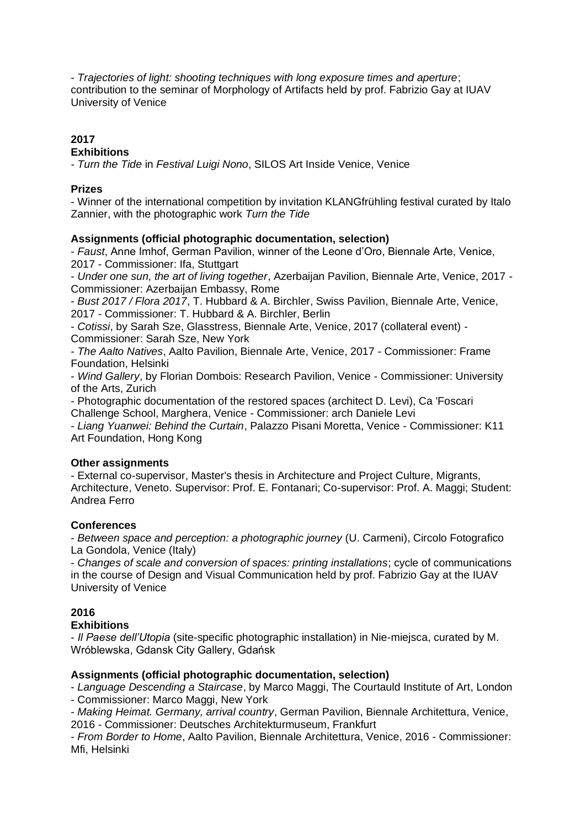- *Trajectories of light: shooting techniques with long exposure times and aperture*; contribution to the seminar of Morphology of Artifacts held by prof. Fabrizio Gay at IUAV University of Venice

# **2017**

## **Exhibitions**

*- Turn the Tide* in *Festival Luigi Nono*, SILOS Art Inside Venice, Venice

## **Prizes**

- Winner of the international competition by invitation KLANGfrühling festival curated by Italo Zannier, with the photographic work *Turn the Tide*

## **Assignments (official photographic documentation, selection)**

- *Faust*, Anne Imhof, German Pavilion, winner of the Leone d'Oro, Biennale Arte, Venice, 2017 - Commissioner: Ifa, Stuttgart

- *Under one sun, the art of living together*, Azerbaijan Pavilion, Biennale Arte, Venice, 2017 - Commissioner: Azerbaijan Embassy, Rome

- *Bust 2017 / Flora 2017*, T. Hubbard & A. Birchler, Swiss Pavilion, Biennale Arte, Venice, 2017 - Commissioner: T. Hubbard & A. Birchler, Berlin

- *Cotissi*, by Sarah Sze, Glasstress, Biennale Arte, Venice, 2017 (collateral event) - Commissioner: Sarah Sze, New York

- *The Aalto Natives*, Aalto Pavilion, Biennale Arte, Venice, 2017 - Commissioner: Frame Foundation, Helsinki

- *Wind Gallery*, by Florian Dombois: Research Pavilion, Venice - Commissioner: University of the Arts, Zurich

- Photographic documentation of the restored spaces (architect D. Levi), Ca 'Foscari Challenge School, Marghera, Venice - Commissioner: arch Daniele Levi

- *Liang Yuanwei: Behind the Curtain*, Palazzo Pisani Moretta, Venice - Commissioner: K11 Art Foundation, Hong Kong

#### **Other assignments**

- External co-supervisor, Master's thesis in Architecture and Project Culture, Migrants, Architecture, Veneto. Supervisor: Prof. E. Fontanari; Co-supervisor: Prof. A. Maggi; Student: Andrea Ferro

## **Conferences**

- *Between space and perception: a photographic journey* (U. Carmeni), Circolo Fotografico La Gondola, Venice (Italy)

- *Changes of scale and conversion of spaces: printing installations*; cycle of communications in the course of Design and Visual Communication held by prof. Fabrizio Gay at the IUAV University of Venice

## **2016**

#### **Exhibitions**

- *Il Paese dell'Utopia* (site-specific photographic installation) in Nie-miejsca, curated by M. Wróblewska, Gdansk City Gallery, Gdańsk

#### **Assignments (official photographic documentation, selection)**

- *Language Descending a Staircase*, by Marco Maggi, The Courtauld Institute of Art, London

- Commissioner: Marco Maggi, New York

- *Making Heimat. Germany, arrival country*, German Pavilion, Biennale Architettura, Venice, 2016 - Commissioner: Deutsches Architekturmuseum, Frankfurt

- *From Border to Home*, Aalto Pavilion, Biennale Architettura, Venice, 2016 - Commissioner: Mfi, Helsinki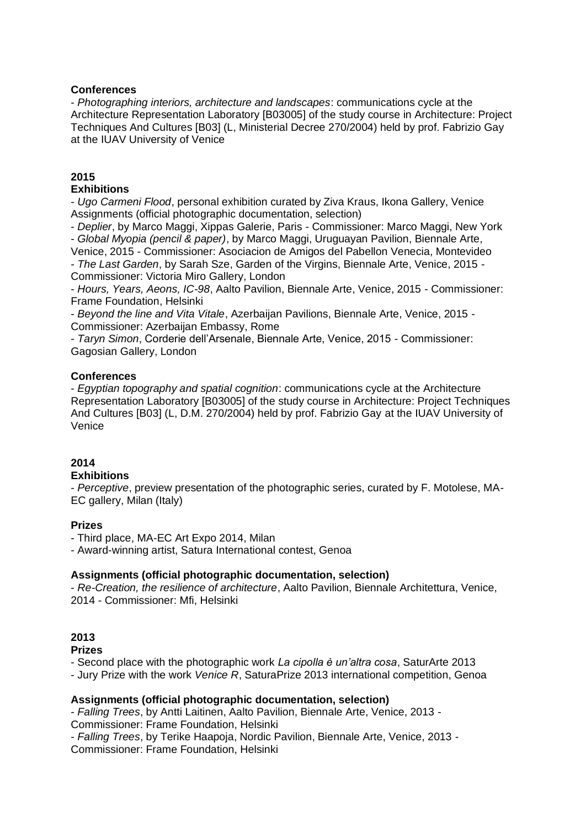### **Conferences**

- *Photographing interiors, architecture and landscapes*: communications cycle at the Architecture Representation Laboratory [B03005] of the study course in Architecture: Project Techniques And Cultures [B03] (L, Ministerial Decree 270/2004) held by prof. Fabrizio Gay at the IUAV University of Venice

# **2015**

### **Exhibitions**

- *Ugo Carmeni Flood*, personal exhibition curated by Ziva Kraus, Ikona Gallery, Venice Assignments (official photographic documentation, selection)

- *Deplier*, by Marco Maggi, Xippas Galerie, Paris - Commissioner: Marco Maggi, New York - *Global Myopia (pencil & paper)*, by Marco Maggi, Uruguayan Pavilion, Biennale Arte,

Venice, 2015 - Commissioner: Asociacion de Amigos del Pabellon Venecia, Montevideo - *The Last Garden*, by Sarah Sze, Garden of the Virgins, Biennale Arte, Venice, 2015 - Commissioner: Victoria Miro Gallery, London

- *Hours, Years, Aeons, IC-98*, Aalto Pavilion, Biennale Arte, Venice, 2015 - Commissioner: Frame Foundation, Helsinki

- *Beyond the line and Vita Vitale*, Azerbaijan Pavilions, Biennale Arte, Venice, 2015 - Commissioner: Azerbaijan Embassy, Rome

- *Taryn Simon*, Corderie dell'Arsenale, Biennale Arte, Venice, 2015 - Commissioner: Gagosian Gallery, London

## **Conferences**

- *Egyptian topography and spatial cognition*: communications cycle at the Architecture Representation Laboratory [B03005] of the study course in Architecture: Project Techniques And Cultures [B03] (L, D.M. 270/2004) held by prof. Fabrizio Gay at the IUAV University of Venice

## **2014**

## **Exhibitions**

- *Perceptive*, preview presentation of the photographic series, curated by F. Motolese, MA-EC gallery, Milan (Italy)

## **Prizes**

- Third place, MA-EC Art Expo 2014, Milan

- Award-winning artist, Satura International contest, Genoa

#### **Assignments (official photographic documentation, selection)**

- *Re-Creation, the resilience of architecture*, Aalto Pavilion, Biennale Architettura, Venice, 2014 - Commissioner: Mfi, Helsinki

## **2013**

**Prizes**

- Second place with the photographic work *La cipolla è un'altra cosa*, SaturArte 2013

- Jury Prize with the work *Venice R*, SaturaPrize 2013 international competition, Genoa

#### **Assignments (official photographic documentation, selection)**

- *Falling Trees*, by Antti Laitinen, Aalto Pavilion, Biennale Arte, Venice, 2013 - Commissioner: Frame Foundation, Helsinki - *Falling Trees*, by Terike Haapoja, Nordic Pavilion, Biennale Arte, Venice, 2013 - Commissioner: Frame Foundation, Helsinki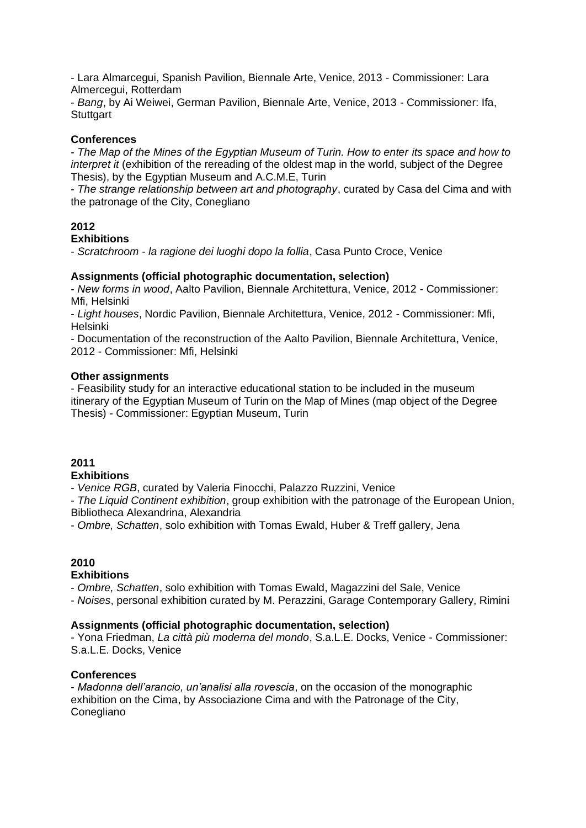- Lara Almarcegui, Spanish Pavilion, Biennale Arte, Venice, 2013 - Commissioner: Lara Almercegui, Rotterdam

- *Bang*, by Ai Weiwei, German Pavilion, Biennale Arte, Venice, 2013 - Commissioner: Ifa, **Stuttgart** 

#### **Conferences**

- *The Map of the Mines of the Egyptian Museum of Turin. How to enter its space and how to interpret it* (exhibition of the rereading of the oldest map in the world, subject of the Degree Thesis), by the Egyptian Museum and A.C.M.E, Turin

- *The strange relationship between art and photography*, curated by Casa del Cima and with the patronage of the City, Conegliano

## **2012**

#### **Exhibitions**

- *Scratchroom - la ragione dei luoghi dopo la follia*, Casa Punto Croce, Venice

#### **Assignments (official photographic documentation, selection)**

- *New forms in wood*, Aalto Pavilion, Biennale Architettura, Venice, 2012 - Commissioner: Mfi, Helsinki

- *Light houses*, Nordic Pavilion, Biennale Architettura, Venice, 2012 - Commissioner: Mfi, Helsinki

- Documentation of the reconstruction of the Aalto Pavilion, Biennale Architettura, Venice, 2012 - Commissioner: Mfi, Helsinki

#### **Other assignments**

- Feasibility study for an interactive educational station to be included in the museum itinerary of the Egyptian Museum of Turin on the Map of Mines (map object of the Degree Thesis) - Commissioner: Egyptian Museum, Turin

#### **2011 Exhibitions**

- *Venice RGB*, curated by Valeria Finocchi, Palazzo Ruzzini, Venice

- *The Liquid Continent exhibition*, group exhibition with the patronage of the European Union, Bibliotheca Alexandrina, Alexandria

- *Ombre, Schatten*, solo exhibition with Tomas Ewald, Huber & Treff gallery, Jena

## **2010**

#### **Exhibitions**

- *Ombre, Schatten*, solo exhibition with Tomas Ewald, Magazzini del Sale, Venice

- *Noises*, personal exhibition curated by M. Perazzini, Garage Contemporary Gallery, Rimini

#### **Assignments (official photographic documentation, selection)**

- Yona Friedman, *La città più moderna del mondo*, S.a.L.E. Docks, Venice - Commissioner: S.a.L.E. Docks, Venice

#### **Conferences**

- *Madonna dell'arancio, un'analisi alla rovescia*, on the occasion of the monographic exhibition on the Cima, by Associazione Cima and with the Patronage of the City, Conegliano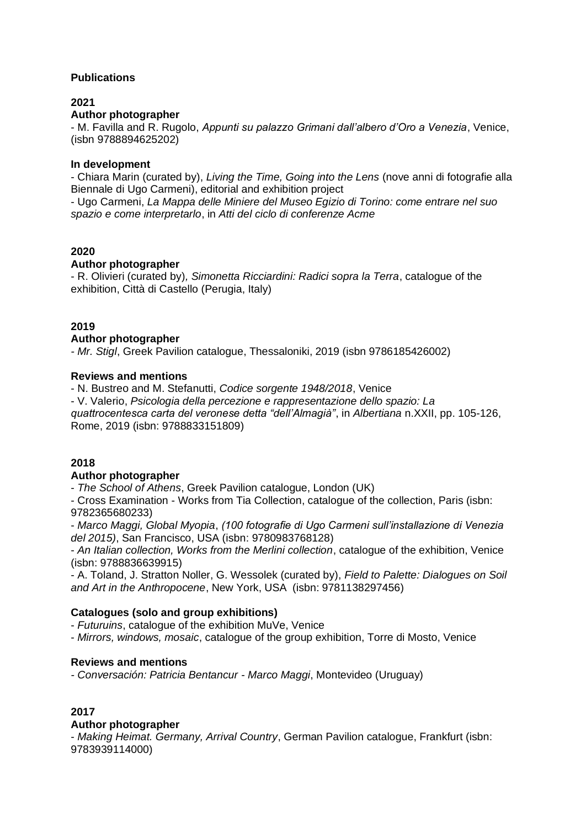## **Publications**

## **2021**

## **Author photographer**

- M. Favilla and R. Rugolo, *Appunti su palazzo Grimani dall'albero d'Oro a Venezia*, Venice, (isbn 9788894625202)

#### **In development**

- Chiara Marin (curated by), *Living the Time, Going into the Lens* (nove anni di fotografie alla Biennale di Ugo Carmeni), editorial and exhibition project

- Ugo Carmeni, *La Mappa delle Miniere del Museo Egizio di Torino: come entrare nel suo spazio e come interpretarlo*, in *Atti del ciclo di conferenze Acme*

#### **2020**

#### **Author photographer**

- R. Olivieri (curated by)*, Simonetta Ricciardini: Radici sopra la Terra*, catalogue of the exhibition, Città di Castello (Perugia, Italy)

#### **2019**

#### **Author photographer**

*- Mr. Stigl*, Greek Pavilion catalogue, Thessaloniki, 2019 (isbn 9786185426002)

#### **Reviews and mentions**

- N. Bustreo and M. Stefanutti, *Codice sorgente 1948/2018*, Venice

- V. Valerio, *Psicologia della percezione e rappresentazione dello spazio: La quattrocentesca carta del veronese detta "dell'Almagià"*, in *Albertiana* n.XXII, pp. 105-126, Rome, 2019 (isbn: 9788833151809)

#### **2018**

#### **Author photographer**

- *The School of Athens*, Greek Pavilion catalogue, London (UK)

- Cross Examination - Works from Tia Collection, catalogue of the collection, Paris (isbn: 9782365680233)

- *Marco Maggi, Global Myopia*, *(100 fotografie di Ugo Carmeni sull'installazione di Venezia del 2015)*, San Francisco, USA (isbn: 9780983768128)

- *An Italian collection, Works from the Merlini collection*, catalogue of the exhibition, Venice (isbn: 9788836639915)

- A. Toland, J. Stratton Noller, G. Wessolek (curated by), *Field to Palette: Dialogues on Soil and Art in the Anthropocene*, New York, USA (isbn: 9781138297456)

#### **Catalogues (solo and group exhibitions)**

- *Futuruins*, catalogue of the exhibition MuVe, Venice

- *Mirrors, windows, mosaic*, catalogue of the group exhibition, Torre di Mosto, Venice

#### **Reviews and mentions**

*- Conversación: Patricia Bentancur - Marco Maggi*, Montevideo (Uruguay)

#### **2017**

#### **Author photographer**

- *Making Heimat. Germany, Arrival Country*, German Pavilion catalogue, Frankfurt (isbn: 9783939114000)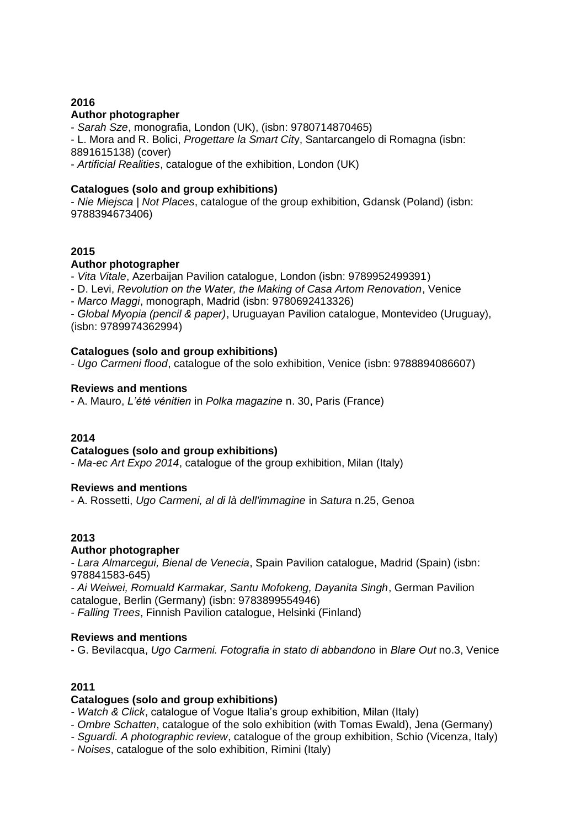#### **2016 Author photographer**

- *Sarah Sze*, monografia, London (UK), (isbn: 9780714870465) - L. Mora and R. Bolici, *Progettare la Smart Cit*y, Santarcangelo di Romagna (isbn: 8891615138) (cover)

- *Artificial Realities*, catalogue of the exhibition, London (UK)

### **Catalogues (solo and group exhibitions)**

- *Nie Miejsca | Not Places*, catalogue of the group exhibition, Gdansk (Poland) (isbn: 9788394673406)

## **2015**

#### **Author photographer**

- *Vita Vitale*, Azerbaijan Pavilion catalogue, London (isbn: 9789952499391)

- D. Levi, *Revolution on the Water, the Making of Casa Artom Renovation*, Venice

- *Marco Maggi*, monograph, Madrid (isbn: 9780692413326)

- *Global Myopia (pencil & paper)*, Uruguayan Pavilion catalogue, Montevideo (Uruguay), (isbn: 9789974362994)

## **Catalogues (solo and group exhibitions)**

*- Ugo Carmeni flood*, catalogue of the solo exhibition, Venice (isbn: 9788894086607)

## **Reviews and mentions**

- A. Mauro, *L'été vénitien* in *Polka magazine* n. 30, Paris (France)

#### **2014**

#### **Catalogues (solo and group exhibitions)**

*- Ma-ec Art Expo 2014*, catalogue of the group exhibition, Milan (Italy)

#### **Reviews and mentions**

- A. Rossetti, *Ugo Carmeni, al di là dell'immagine* in *Satura* n.25, Genoa

## **2013**

#### **Author photographer**

*- Lara Almarcegui, Bienal de Venecia*, Spain Pavilion catalogue, Madrid (Spain) (isbn: 978841583-645)

*- Ai Weiwei, Romuald Karmakar, Santu Mofokeng, Dayanita Singh*, German Pavilion catalogue, Berlin (Germany) (isbn: 9783899554946)

*- Falling Trees*, Finnish Pavilion catalogue, Helsinki (Finland)

#### **Reviews and mentions**

- G. Bevilacqua, *Ugo Carmeni. Fotografia in stato di abbandono* in *Blare Out* no.3, Venice

## **2011**

#### **Catalogues (solo and group exhibitions)**

*- Watch & Click*, catalogue of Vogue Italia's group exhibition, Milan (Italy)

- *Ombre Schatten*, catalogue of the solo exhibition (with Tomas Ewald), Jena (Germany)

*- Sguardi. A photographic review*, catalogue of the group exhibition, Schio (Vicenza, Italy)

*- Noises*, catalogue of the solo exhibition, Rimini (Italy)